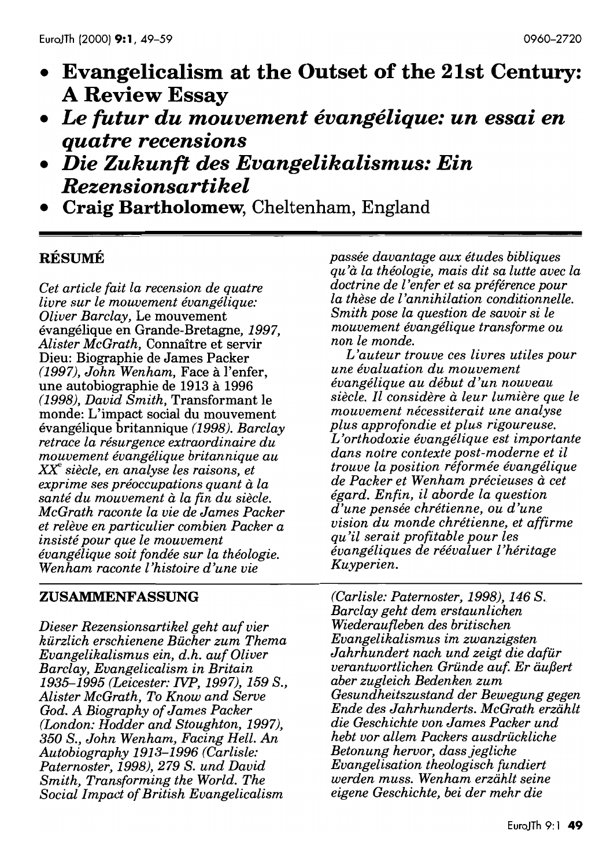- **Evangelicalism at the Outset of the 21st Century: A Review Essay**
- *Le futur du mouvement evangelique: un essai en quatre recensions*
- *Die Zukunft des Evangelikalismus: Ein Rezensionsartikel*
- **Craig Bartholomew,** Cheltenham, England

## **RESUME**

*Cet article fait la recension de quatre livre sur le mouvement evangelique: Oliver Barclay,* Le mouvement evangelique en Grande-Bretagne, 1997, *Alister McGrath,* Connaitre et servir Dieu: Biographie de James Packer (1997), *John Wenham,* Face a l'enfer, une autobiographie de 1913 a 1996 (1998), *David Smith,* Transformant le monde: L'impact social du mouvement evangelique britannique (1998). *Barclay retrace la resurgence extraordinaire du mouvement evangelique britannique au*  XX *siecle, en analyse les raisons, et exprime ses préoccupations quant à la*  $s$ anté du mouvement à la fin du siècle. *McGrath raconte la vie de James Packer et releve en particulier combien Packer a insiste pour que le mouvement evangelique soit fondee sur la theologie. Wenham raconte l'histoire d'une vie* 

#### ZUSAMMENFASSUNG

*Dieser Rezensionsartikel geht auf vier kurzlich erschienene Bucher zum Thema Evangelikalismus ein, d.h. auf Oliver Barclay, Evangelicalism in Britain*  1935-1995 *(Leicester: NP,* 1997), 159 *S., Alister McGrath, To Know and Serve God. A Biography of James Packer (London: Hodder and Stoughton,* 1997), 350 *S., John Wenham, Facing Hell. An Autobiography* 1913-1996 *(Carlisle: Paternoster,* 1998),279 S. *und David Smith, Transforming the World. The Social Impact of British Evangelicalism* 

*passee davantage aux etudes bibliques qu'it la theologie, mais dit sa lutte avec la doctrine de l'enfer et sa preference pour la these de l'annihilation conditionnelle. Smith pose la question de savoir si le mouvement evangelique transforme ou non le monde.* 

*L'auteur trouve ces livres utiles pour une evaluation du mouvement evangelique au debut d'un nouveau siecle. Il considere it leur lumiere que le mouvement necessiterait une analyse plus approfondie et plus rigoureuse. L 'orthodoxie evangelique est importante dans notre contexte post-moderne et il trouve la position reformee evangelique de Packer et Wenham precieuses it cet egard. Enfin, il aborde la question d'une pensee chretienne, ou d'une vision du monde chretienne, et affirme qu'il serait profitable pour les evangeliques de reevaluer l 'heritage Kuyperien.* 

*(Carlisle: Paternoster,* 1998), 146 S. *Barclay geht dem erstaunlichen Wiederaufleben des britischen Evangelikalismus im zwanzigsten Jahrhundert nach und zeigt die dafur verantwortlichen Gründe auf. Er äußert aber zugleich Bedenken zum Gesundheitszustand der Bewegung gegen Ende des Jahrhunderts. McGrath erziihlt die Geschichte von James Packer und hebt vor allem Packers ausdruckliche Betonung hervor, dass jegliche Evangelisation theologisch fundiert werden muss. Wenham erziihlt seine eigene Geschichte, bei der mehr die*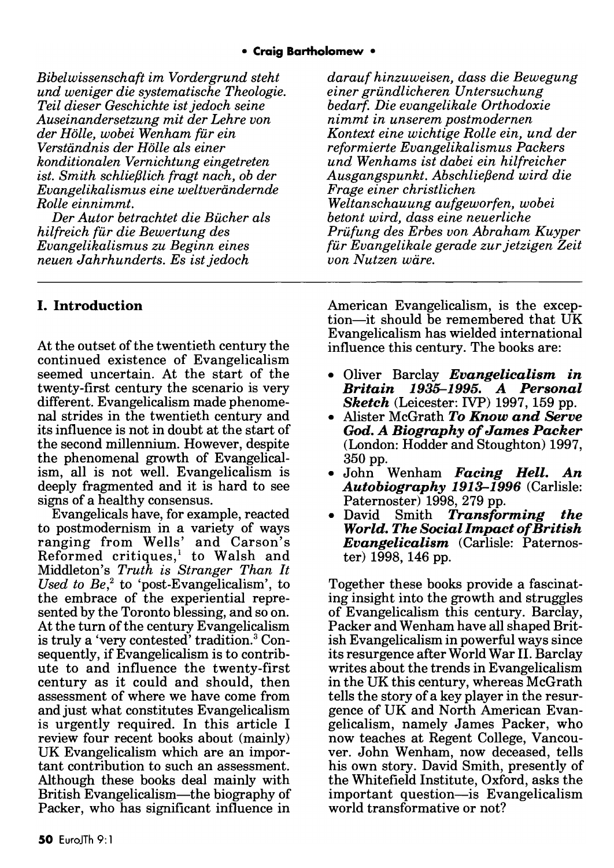*Bibelwissenschaft im Vordergrund steht und weniger die systematische Theologie. Teil dieser Geschichte ist jedoch seine Auseinandersetzung mit der Lehre von der Holle, wobei Wenham fur ein Verstandnis der HoUe als einer konditionalen Vernichtung eingetreten ist. Smith schlief3lich fragt nach, ob der Evangelikalismus eine weltverandernde Rolle einnimmt.* 

*Der Autor betrachtet die Bucher als hilfreich fur die Bewertung des Evangelikalismus zu Beginn eines neuen Jahrhunderts. Es ist jedoch* 

## I. Introduction

At the outset of the twentieth century the continued existence of Evangelicalism seemed uncertain. At the start of the twenty-first century the scenario is very different. Evangelicalism made phenomenal strides in the twentieth century and its influence is not in doubt at the start of the second millennium. However, despite the phenomenal growth of Evangelicalism, all is not well. Evangelicalism is deeply fragmented and it is hard to see signs of a healthy consensus.

Evangelicals have, for example, reacted to postmodernism in a variety of ways ranging from Wells' and Carson's Reformed critiques,<sup>1</sup> to Walsh and Middleton's *Truth is Stranger Than It Used to Be,2* to 'post-Evangelicalism', to the embrace of the experiential represented by the Toronto blessing, and so on. At the turn of the century Evangelicalism is truly a 'very contested' tradition. 3 Consequently, if Evangelicalism is to contribute to and influence the twenty-first century as it could and should, then assessment of where we have come from and just what constitutes Evangelicalism is urgently required. In this article I review four recent books about (mainly) UK Evangelicalism which are an important contribution to such an assessment. Although these books deal mainly with British Evangelicalism—the biography of Packer, who has significant influence in

*darauf hinzuweisen, dass die Bewegung einer grundlicheren Untersuchung bedarf. Die evangelikale Orthodoxie nimmt in unserem postmodernen Kontext eine wichtige RoUe ein, und der reformierte Evangelikalismus Packers und Wenhams ist dabei ein hilfreicher Ausgangspunkt. Abschlief3end wird die Frage einer christlichen Weltanschauung aufgeworfen, wobei betont wird, dass eine neuerliche Prufung des Erbes von Abraham Kuyper fur Evangelikale gerade zur jetzigen Zeit von Nutzen ware.* 

American Evangelicalism, is the exception-it should be remembered that UK Evangelicalism has wielded international influence this century. The books are:

- Oliver Barclay *Evangelicalism in Britain* 1935-1995. *A Personal Sketch* (Leicester: IVP) 1997, 159 pp.
- Alister McGrath *To Know and Serve*  God. *A Biography of James Packer*  (London: Hodder and Stoughton) 1997, 350 pp.
- John Wenham *Facing Hell. An Autobiography* 1913-1996 (Carlisle: Paternoster) 1998, 279 pp.
- David Smith *Transforming the World. The Social Impact of British Evangelicalism* (Carlisle: Paternoster) 1998, 146 pp.

Together these books provide a fascinating insight into the growth and struggles of Evangelicalism this century. Barclay, Packer and Wenham have all shaped British Evangelicalism in powerful ways since its resurgence after World War H. Barclay writes about the trends in Evangelicalism in the UK this century, whereas McGrath tells the story of a key player in the resurgence of UK and North American Evangelicalism, namely James Packer, who now teaches at Regent College, Vancouver. John Wenham, now deceased, tells his own story. David Smith, presently of the Whitefield Institute, Oxford, asks the important question-is Evangelicalism world transformative or not?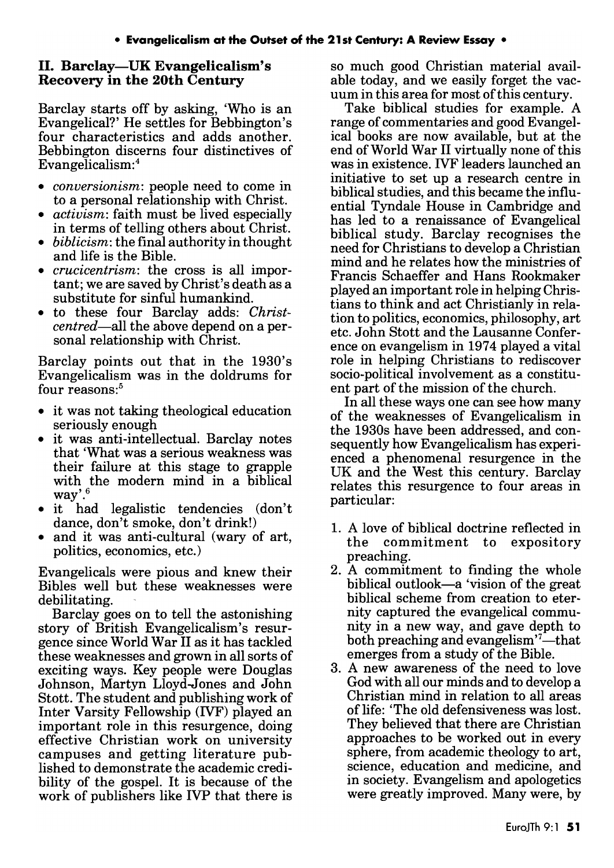#### 11. Barclay-UK Evangelicalism's Recovery in the 20th Century

Barclay starts off by asking, 'Who is an Evangelical?' He settles for Bebbington's four characteristics and adds another. Bebbington discerns four distinctives of Evangelicalism:4

- *conversionism:* people need to come in to a personal relationship with Christ.
- *activism:* faith must be lived especially in terms of telling others about Christ.
- *biblicism:* the final authority in thought and life is the Bible.
- *crucicentrism:* the cross is all important; we are saved by Christ's death as a substitute for sinful humankind.
- to these four Barclay adds: *Christcentred-all* the above depend on a personal relationship with Christ.

Barclay points out that in the 1930's Evangelicalism was in the doldrums for four reasons:<sup>5</sup>

- it was not taking theological education seriously enough
- it was anti-intellectual. Barclay notes that 'What was a serious weakness was their failure at this stage to grapple with the modern mind in a biblical way'.6
- it had legalistic tendencies (don't dance, don't smoke, don't drink!)
- and it was anti-cultural (wary of art, politics, economics, etc.)

Evangelicals were pious and knew their Bibles well but these weaknesses were debilitating.

Barclay goes on to tell the astonishing story of British Evangelicalism's resurgence since World War 11 as it has tackled these weaknesses and grown in all sorts of exciting ways. Key people were Douglas Johnson, Martyn Lloyd-Jones and John Stott. The student and publishing work of Inter Varsity Fellowship (IVF) played an important role in this resurgence, doing effective Christian work on university campuses and getting literature published to demonstrate the academic credibility of the gospel. It is because of the work of publishers like IVP that there is

so much good Christian material available today, and we easily forget the vacuum in this area for most of this century.

Take biblical studies for example. A range of commentaries and good Evangelical books are now available, but at the end of World War 11 virtually none of this was in existence. IVF leaders launched an initiative to set up a research centre in biblical studies, and this became the influential Tyndale House in Cambridge and has led to a renaissance of Evangelical biblical study. Barclay recognises the need for Christians to develop a Christian mind and he relates how the ministries of Francis Schaeffer and Hans Rookmaker played an important role in helping Christians to think and act Christianly in relation to politics, economics, philosophy, art etc. John Stott and the Lausanne Conference on evangelism in 1974 played a vital role in helping Christians to rediscover socio-political involvement as a constituent part of the mission of the church.

In all these ways one can see how many of the weaknesses of Evangelicalism in the 1930s have been addressed, and consequently how Evangelicalism has experienced a phenomenal resurgence in the UK and the West this century. Barclay relates this resurgence to four areas in particular:

- 1. A love of biblical doctrine reflected in the commitment to expository preaching.
- 2. A commitment to finding the whole biblical outlook-a 'vision of the great biblical scheme from creation to eternity captured the evangelical community in a new way, and gave depth to both preaching and evangelism $^7$ -that emerges from a study of the Bible.
- 3. A new awareness of the need to love God with all our minds and to develop a Christian mind in relation to all areas of life: 'The old defensiveness was lost. They believed that there are Christian approaches to be worked out in every sphere, from academic theology to art, science, education and medicine, and in society. Evangelism and apologetics were greatly improved. Many were, by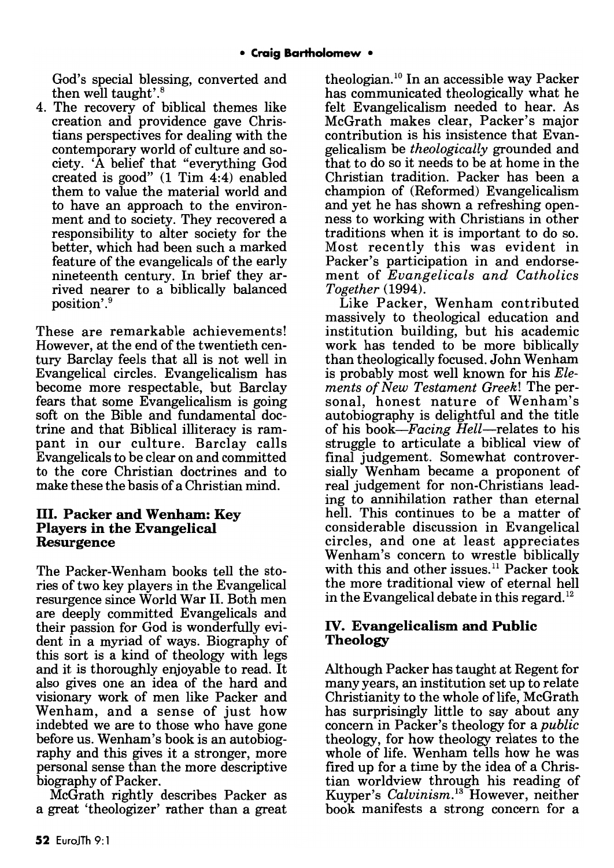God's special blessing, converted and then well taught'. 8

4. The recovery of biblical themes like creation and providence gave Christians perspectives for dealing with the contemporary world of culture and society. 'A belief that "everything God created is good" (1 Tim 4:4) enabled them to value the material world and to have an approach to the environment and to society. They recovered a responsibility to alter society for the better, which had been such a marked feature of the evangelicals of the early nineteenth century. In brief they arrived nearer to a biblically balanced position'. <sup>9</sup>

These are remarkable achievements! However, at the end of the twentieth century Barclay feels that all is not well in Evangelical circles. Evangelicalism has become more respectable, but Barclay fears that some Evangelicalism is going soft on the Bible and fundamental doctrine and that Biblical illiteracy is rampant in our culture. Barclay calls Evangelicals to be clear on and committed to the core Christian doctrines and to make these the basis of a Christian mind.

#### Ill. Packer and Wenham: Key Players in the Evangelical Resurgence

The Packer-Wenham books tell the stories of two key players in the Evangelical resurgence since World War 11. Both men are deeply committed Evangelicals and their passion for God is wonderfully evident in a myriad of ways. Biography of this sort is a kind of theology with legs and it is thoroughly enjoyable to read. It also gives one an idea of the hard and visionary work of men like Packer and Wenham, and a sense of just how indebted we are to those who have gone before us. Wenham's book is an autobiography and this gives it a stronger, more personal sense than the more descriptive biography of Packer.

McGrath rightly describes Packer as a great 'theologizer' rather than a great theologian.<sup>10</sup> In an accessible way Packer has communicated theologically what he felt Evangelicalism needed to hear. As McGrath makes clear, Packer's major contribution is his insistence that Evangelicalism be *theologically* grounded and that to do so it needs to be at home in the Christian tradition. Packer has been a champion of (Reformed) Evangelicalism and yet he has shown a refreshing openness to working with Christians in other traditions when it is important to do so. Most recently this was evident in Packer's participation in and endorsement of *Evangelicals and Catholics Together (1994).* 

Like Packer, Wenham contributed massively to theological education and institution building, but his academic work has tended to be more biblically than theologically focused. John Wenham is probably most well known for his *Elements of New Testament Greek!* The personal, honest nature of Wenham's autobiography is delightful and the title of his *book-Facing Hell-relates* to his struggle to articulate a biblical view of final judgement. Somewhat controversially Wenham became a proponent of real judgement for non-Christians leading to annihilation rather than eternal hell. This continues to be a matter of considerable discussion in Evangelical circles, and one at least appreciates Wenham's concern to wrestle biblically with this and other issues.<sup>11</sup> Packer took the more traditional view of eternal hell in the Evangelical debate in this regard.<sup>12</sup>

#### IV. Evangelicalism and Public Theology

Although Packer has taught at Regent for many years, an institution set up to relate Christianity to the whole of life, McGrath has surprisingly little to say about any concern in Packer's theology for a *public*  theology, for how theology relates to the whole of life. Wenham tells how he was fired up for a time by the idea of a Christian worldview through his reading of Kuyper's *Calvinism*.<sup>13</sup> However, neither book manifests a strong concern for a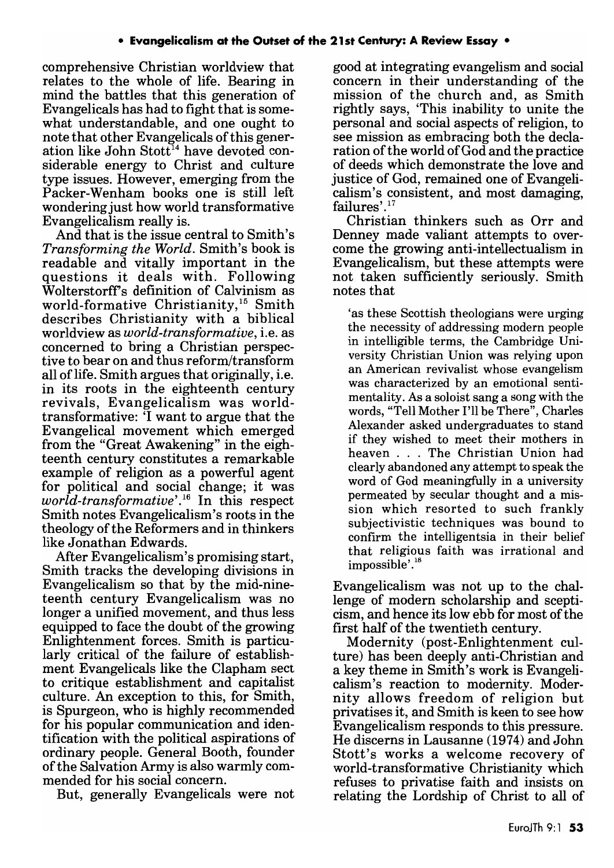comprehensive Christian worldview that relates to the whole of life. Bearing in mind the battles that this generation of Evangelicals has had to fight that is somewhat understandable, and one ought to note that other Evangelicals of this generation like John Stott<sup>14</sup> have devoted considerable energy to Christ and culture type issues. However, emerging from the Packer-Wenham books one is still left wondering just how world transformative Evangelicalism really is.

And that is the issue central to Smith's *Transforming the World.* Smith's book is readable and vitally important in the questions it deals with. Following Wolterstorffs definition of Calvinism as world-formative Christianity,<sup>15</sup> Smith describes Christianity with a biblical worldview as *world-transformative,* i.e. as concerned to bring a Christian perspective to bear on and thus reform/transform all oflife. Smith argues that originally, i.e. in its roots in the eighteenth century revivals, Evangelicalism was worldtransformative: 'I want to argue that the Evangelical movement which emerged from the "Great Awakening" in the eighteenth century constitutes a remarkable example of religion as a powerful agent for political and social change; it was *world-transformative'.16* In this respect Smith notes Evangelicalism's roots in the theology of the Reformers and in thinkers like Jonathan Edwards.

After Evangelicalism's promising start, Smith tracks the developing divisions in Evangelicalism so that by the mid-nineteenth century Evangelicalism was no longer a unified movement, and thus less equipped to face the doubt of the growing Enlightenment forces. Smith is particularly critical of the failure of establishment Evangelicals like the Clapham sect to critique establishment and capitalist culture. An exception to this, for Smith, is Spurgeon, who is highly recommended for his popular communication and identification with the political aspirations of ordinary people. General Booth, founder of the Salvation Army is also warmly commended for his social concern.

But, generally Evangelicals were not

good at integrating evangelism and social concern in their understanding of the mission of the church and, as Smith rightly says, 'This inability to unite the personal and social aspects of religion, to see mission as embracing both the declaration of the world of God and the practice of deeds which demonstrate the love and justice of God, remained one of Evangelicalism's consistent, and most damaging, failures'.<sup>17</sup>

Christian thinkers such as Orr and Denney made valiant attempts to overcome the growing anti-intellectualism in Evangelicalism, but these attempts were not taken sufficiently seriously. Smith notes that

'as these Scottish theologians were urging the necessity of addressing modern people in intelligible terms, the Cambridge University Christian Union was relying upon an American revivalist whose evangelism was characterized by an emotional sentimentality. As a soloist sang a song with the words, "Tell Mother I'll be There", Charles Alexander asked undergraduates to stand if they wished to meet their mothers in heaven ... The Christian Union had clearly abandoned any attempt to speak the word of God meaningfully in a university permeated by secular thought and a mission which resorted to such frankly subjectivistic techniques was bound to confirm the intelligentsia in their belief that religious faith was irrational and  $impossible'.<sup>18</sup>$ 

Evangelicalism was not up to the challenge of modern scholarship and scepticism, and hence its low ebb for most of the first half of the twentieth century.

Modernity (post-Enlightenment culture) has been deeply anti-Christian and a key theme in Smith's work is Evangelicalism's reaction to modernity. Modernity allows freedom of religion but privatises it, and Smith is keen to see how Evangelicalism responds to this pressure. He discerns in Lausanne (1974) and John Stott's works a welcome recovery of world-transformative Christianity which refuses to privatise faith and insists on relating the Lordship of Christ to all of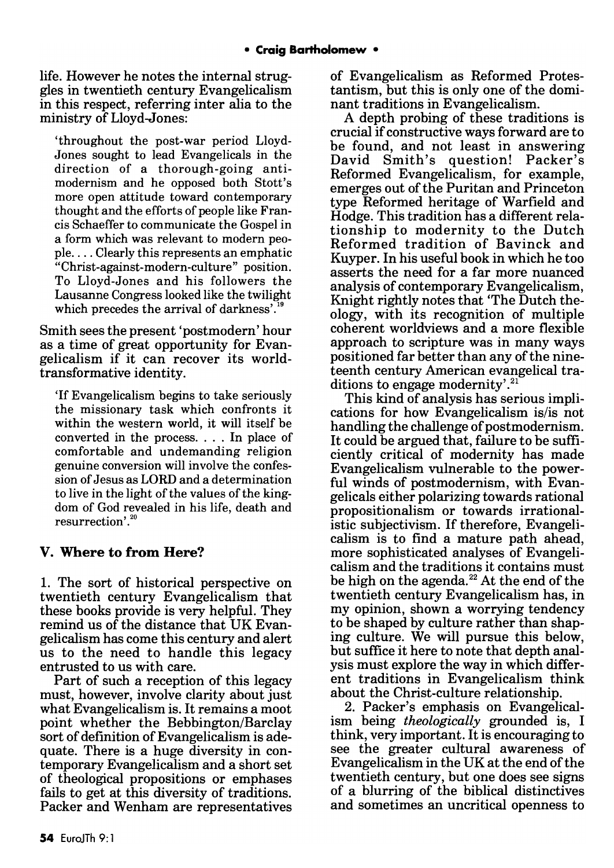life. However he notes the internal struggles in twentieth century Evangelicalism in this respect, referring inter alia to the ministry of Lloyd-Jones:

'throughout the post-war period Lloyd-Jones sought to lead Evangelicals in the direction of a thorough-going antimodernism and he opposed both Stott's more open attitude toward contemporary thought and the efforts of people like Francis Schaeffer to communicate the Gospel in a form which was relevant to modern peo $ple...$  Clearly this represents an emphatic "Christ-against-modern-culture" position. To Lloyd-Jones and his followers the Lausanne Congress looked like the twilight which precedes the arrival of darkness'. $19$ 

Smith sees the present 'postmodern' hour as a time of great opportunity for Evangelicalism if it can recover its worldtransformative identity.

'If Evangelicalism begins to take seriously the missionary task which confronts it within the western world, it will itself be converted in the process. . . . In place of comfortable and undemanding religion genuine conversion will involve the confession of Jesus as LORD and a determination to live in the light of the values of the kingdom of God revealed in his life, death and resurrection'.<sup>20</sup>

#### V. Where to from Here?

1. The sort of historical perspective on twentieth century Evangelicalism that these books provide is very helpful. They remind us of the distance that UK Evangelicalism has come this century and alert us to the need to handle this legacy entrusted to us with care.

Part of such a reception of this legacy must, however, involve clarity about just what Evangelicalism is. It remains a moot point whether the Bebbington/Barclay sort of definition of Evangelicalism is adequate. There is a huge diversity in contemporary Evangelicalism and a short set of theological propositions or emphases fails to get at this diversity of traditions. Packer and Wenham are representatives of Evangelicalism as Reformed Protestantism, but this is only one of the dominant traditions in Evangelicalism.

A depth probing of these traditions is crucial if constructive ways forward are to be found, and not least in answering David Smith's question! Packer's Reformed Evangelicalism, for example, emerges out of the Puritan and Princeton type Reformed heritage of Warfield and Hodge. This tradition has a different relationship to modernity to the Dutch Reformed tradition of Bavinck and Kuyper. In his useful book in which he too asserts the need for a far more nuanced analysis of contemporary Evangelicalism, Knight rightly notes that 'The Dutch theology, with its recognition of multiple coherent worldviews and a more flexible approach to scripture was in many ways positioned far better than any of the nineteenth century American evangelical traditions to engage modernity'.<sup>21</sup>

This kind of analysis has serious implications for how Evangelicalism is/is not handling the challenge of postmodernism. It could be argued that, failure to be sufficiently critical of modernity has made Evangelicalism vulnerable to the powerful winds of postmodernism, with Evangelicals either polarizing towards rational propositionalism or towards irrationalistic subjectivism. If therefore, Evangelicalism is to find a mature path ahead, more sophisticated analyses of Evangelicalism and the traditions it contains must be high on the agenda.<sup>22</sup> At the end of the twentieth century Evangelicalism has, in my opinion, shown a worrying tendency to be shaped by culture rather than shaping culture. We will pursue this below, but suffice it here to note that depth analysis must explore the way in which different traditions in Evangelicalism think about the Christ-culture relationship.

2. Packer's emphasis on Evangelicalism being *theologically* grounded is, I think, very important. It is encouraging to see the greater cultural awareness of Evangelicalism in the UK at the end of the twentieth century, but one does see signs of a blurring of the biblical distinctives and sometimes an uncritical openness to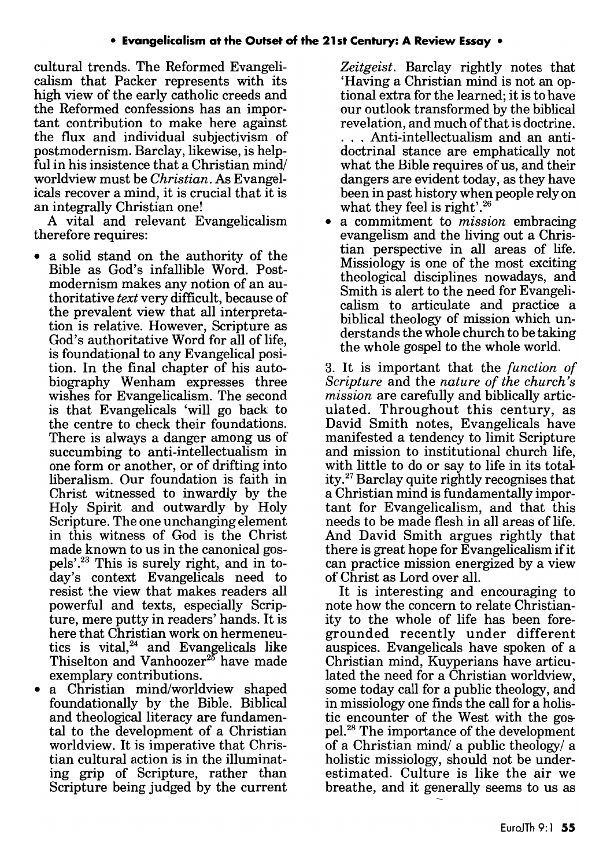cultural trends. The Reformed Evangelicalism that Packer represents with its high view of the early catholic creeds and the Reformed confessions has an important contribution to make here against the flux and individual subjectivism of postmodernism. Barclay, likewise, is helpful in his insistence that a Christian mind worldview must be *Christian.* As Evangelicals recover a mind, it is crucial that it is an integrally Christian one!

A vital and relevant Evangelicalism therefore requires:

- a solid stand on the authority of the Bible as God's infallible Word. Postmodernism makes any notion of an authoritative *text* very difficult, because of the prevalent view that all interpretation is relative. However, Scripture as God's authoritative Word for all of life, is foundational to any Evangelical position. In the final chapter of his autobiography Wenham expresses three wishes for Evangelicalism. The second is that Evangelicals 'will go back to the centre to check their foundations. There is always a danger among us of succumbing to anti-intellectualism in one form or another, or of drifting into liberalism. Our foundation is faith in Christ witnessed to inwardly by the Holy Spirit and outwardly by Holy Scripture. The one unchanging element in this witness of God is the Christ made known to us in the canonical gospels'.23 This is surely right, and in today's context Evangelicals need to resist the view that makes readers all powerful and texts, especially Scripture, mere putty in readers' hands. It is here that Christian work on hermeneutics is vital, $24$  and Evangelicals like Thiselton and Vanhoozer<sup>25</sup> have made exemplary contributions.
- a Christian mind/worldview shaped foundationally by the Bible. Biblical and theological literacy are fundamental to the development of a Christian worldview. It is imperative that Christian cultural action is in the illuminating grip of Scripture, rather than Scripture being judged by the current

*Zeitgeist.* Barclay rightly notes that 'Having a Christian mind is not an optional extra for the learned; it is to have our outlook transformed by the biblical revelation, and much of that is doctrine. ... Anti-intellectualism and an antidoctrinal stance are emphatically not what the Bible requires of us, and their dangers are evident today, as they have been in past history when people rely on what they feel is right'.<sup>26</sup>

• a commitment to *mission* embracing evangelism and the living out a Christian perspective in all areas of life. Missiology is one of the most exciting theological disciplines nowadays, and Smith is alert to the need for Evangelicalism to articulate and practice a biblical theology of mission which understands the whole church to be taking the whole gospel to the whole world.

3. It is important that the *function of Scripture* and the *nature of the church's mission* are carefully and biblically articulated. Throughout this century, as David Smith notes, Evangelicals have manifested a tendency to limit Scripture and mission to institutional church life, with little to do or say to life in its totality.27 Barclay quite rightly recognises that a Christian mind is fundamentally important for Evangelicalism, and that this needs to be made flesh in all areas of life. And David Smith argues rightly that there is great hope for Evangelicalism if it can practice mission energized by a view of Christ as Lord over all.

It is interesting and encouraging to note how the concern to relate Christianity to the whole of life has been foregrounded recently under different auspices. Evangelicals have spoken of a Christian mind, Kuyperians have articulated the need for a Christian worldview, some today call for a public theology, and in missiology one finds the call for a holistic encounter of the West with the gospel. 28 The importance of the development of a Christian mind/ a public theology/ a holistic missiology, should not be underestimated. Culture is like the air we breathe, and it generally seems to us as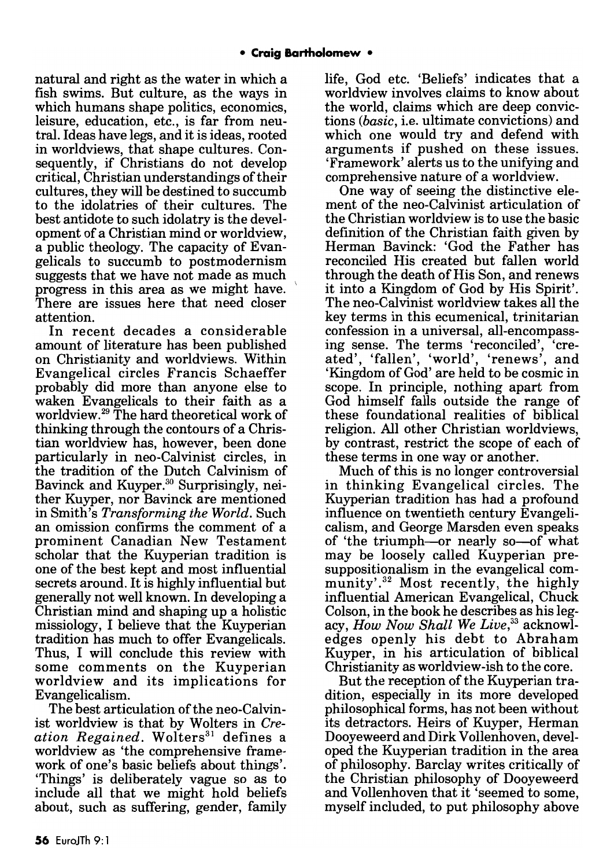natural and right as the water in which a fish swims. But culture, as the ways in which humans shape politics, economics, leisure, education, etc., is far from neutral. Ideas have legs, and it is ideas, rooted in worldviews, that shape cultures. Consequently, if Christians do not develop critical, Christian understandings of their cultures, they will be destined to succumb to the idolatries of their cultures. The best antidote to such idolatry is the development of a Christian mind or worldview, a public theology. The capacity of Evangelicals to succumb to post modernism suggests that we have not made as much progress in this area as we might have. \ There are issues here that need closer attention.

In recent decades a considerable amount of literature has been published on Christianity and worldviews. Within Evangelical circles Francis Schaeffer probably did more than anyone else to waken Evangelicals to their faith as a worldview.29 The hard theoretical work of thinking through the contours of a Christian worldview has, however, been done particularly in neo-Calvinist circles, in the tradition of the Dutch Calvinism of Bavinck and Kuyper.<sup>30</sup> Surprisingly, neither Kuyper, nor Bavinck are mentioned in Smith's *Transforming the World.* Such an omission confirms the comment of a prominent Canadian New Testament scholar that the Kuyperian tradition is one of the best kept and most influential secrets around. It is highly influential but generally not well known. In developing a Christian mind and shaping up a holistic missiology, I believe that the Kuyperian tradition has much to offer Evangelicals. Thus, I will conclude this review with some comments on the Kuyperian worldview and its implications for Evangelicalism.

The best articulation of the neo-Calvinist worldview is that by Wolters in *Creation Regained.* Wolters<sup>31</sup> defines a worldview as 'the comprehensive framework of one's basic beliefs about things'. 'Things' is deliberately vague so as to include all that we might hold beliefs about, such as suffering, gender, family life, God etc. 'Beliefs' indicates that a worldview involves claims to know about the world, claims which are deep convictions *(basic,* i.e. ultimate convictions) and which one would try and defend with arguments if pushed on these issues. 'Framework' alerts us to the unifying and comprehensive nature of a worldview.

One way of seeing the distinctive element of the neo-Calvinist articulation of the Christian worldview is to use the basic definition of the Christian faith given by Herman Bavinck: 'God the Father has reconciled His created but fallen world through the death of His Son, and renews it into a Kingdom of God by His Spirit'. The neo-Calvinist worldview takes all the key terms in this ecumenical, trinitarian confession in a universal, all-encompassing sense. The terms 'reconciled', 'created', 'fallen', 'world', 'renews', and 'Kingdom of God' are held to be cosmic in scope. In principle, nothing apart from God himself falls outside the range of these foundational realities of biblical religion. All other Christian worldviews, by contrast, restrict the scope of each of these terms in one way or another.

Much of this is no longer controversial in thinking Evangelical circles. The Kuyperian tradition has had a profound influence on twentieth century Evangelicalism, and George Marsden even speaks of 'the triumph-or nearly so-of what may be loosely called Kuyperian presuppositionalism in the evangelical community'.<sup>32</sup> Most recently, the highly influential American Evangelical, Chuck Colson, in the book he describes as his legacy, *How Now Shall We Live*,<sup>33</sup> acknowledges openly his debt to Abraham Kuyper, in his articulation of biblical Christianity as worldview-ish to the core.

But the reception of the Kuyperian tradition, especially in its more developed philosophical forms, has not been without its detractors. Heirs of Kuyper, Herman Dooyeweerd and Dirk Vollenhoven, developed the Kuyperian tradition in the area of philosophy. Barclay writes critically of the Christian philosophy of Dooyeweerd and Vollenhoven that it 'seemed to some, myself included, to put philosophy above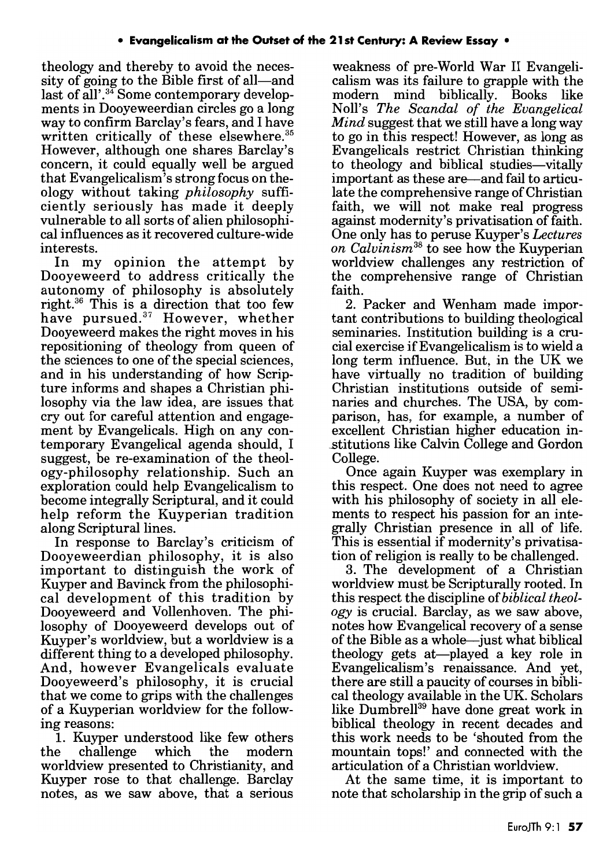theology and thereby to avoid the necessity of going to the Bible first of all—and last of all'. $34$  Some contemporary developments in Dooyeweerdian circles go a long way to confirm Barclay's fears, and I have written critically of these elsewhere.<sup>35</sup> However, although one shares Barclay's concern, it could equally well be argued that Evangelicalism's strong focus on theology without taking *philosophy* sufficiently seriously has made it deeply vulnerable to all sorts of alien philosophical influences as it recovered culture-wide interests.

In my opinion the attempt by Dooyeweerd to address critically the autonomy of philosophy is absolutely right.36 This is a direction that too few have pursued.<sup>37</sup> However, whether Dooyeweerd makes the right moves in his repositioning of theology from queen of the sciences to one of the special sciences, and in his understanding of how Scripture informs and shapes a Christian philosophy via the law idea, are issues that cry out for careful attention and engagement by Evangelicals. High on any contemporary Evangelical agenda should, I suggest, be re-examination of the theology-philosophy relationship. Such an exploration could help Evangelicalism to become integrally Scriptural, and it could help reform the Kuyperian tradition along Scriptural lines.

In response to Barclay's criticism of Dooyeweerdian philosophy, it is also important to distinguish the work of Kuyper and Bavinck from the philosophical development of this tradition by Dooyeweerd and Vollenhoven. The philosophy of Dooyeweerd develops out of Kuyper's worldview, but a worldview is a different thing to a developed philosophy. And, however Evangelicals evaluate Dooyeweerd's philosophy, it is crucial that we come to grips with the challenges of a Kuyperian worldview for the following reasons:

1. Kuyper understood like few others the challenge which the modern worldview presented to Christianity, and Kuyper rose to that challenge. Barclay notes, as we saw above, that a serious

weakness of pre-World War 11 Evangelicalism was its failure to grapple with the modern mind biblically. Books like NolI's *The Scandal of the Evangelical Mind* suggest that we still have a long way to go in this respect! However, as long as Evangelicals restrict Christian thinking to theology and biblical studies-vitally important as these are—and fail to articulate the comprehensive range of Christian faith, we will not make real progress against modernity's privatisation of faith. One only has to peruse Kuyper's *Lectures on Calvinism* 38 to see how the Kuyperian worldview challenges any restriction of the comprehensive range of Christian faith.

2. Packer and Wenham made important contributions to building theological seminaries. Institution building is a crucial exercise if Evangelicalism is to wield a long term influence. But, in the UK we have virtually no tradition of building Christian institutions outside of seminaries and churches. The USA, by comparison, has, for example, a number of excellent Christian higher education in stitutions like Calvin College and Gordon College.

Once again Kuyper was exemplary in this respect. One does not need to agree with his philosophy of society in all elements to respect his passion for an integrally Christian presence in all of life. This is essential if modernity's privatisation of religion is really to be challenged.

3. The development of a Christian worldview must be Scripturally rooted. In this respect the discipline of *biblical theology* is crucial. Barclay, as we saw above, notes how Evangelical recovery of a sense of the Bible as a whole-just what biblical theology gets at-played a key role in Evangelicalism's renaissance. And yet, there are still a paucity of courses in biblical theology available in the UK. Scholars like Dumbrell<sup>39</sup> have done great work in biblical theology in recent decades and this work needs to be 'shouted from the mountain tops!' and connected with the articulation of a Christian worldview.

At the same time, it is important to note that scholarship in the grip of such a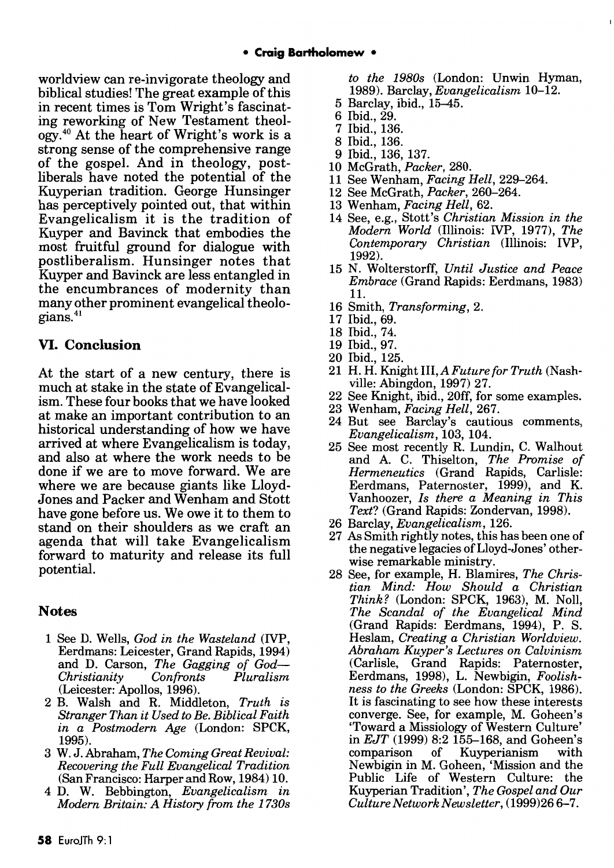worldview can re-invigorate theology and biblical studies! The great example of this in recent times is Tom Wright's fascinating reworking of New Testament theology.40 At the heart of Wright's work is a strong sense of the comprehensive range of the gospel. And in theology, postliberals have noted the potential of the Kuyperian tradition. George Hunsinger has perceptively pointed out, that within Evangelicalism it is the tradition of Kuyper and Bavinck that embodies the most fruitful ground for dialogue with postliberalism. Hunsinger notes that Kuyper and Bavinck are less entangled in the encumbrances of modernity than many other prominent evangelical theologians.<sup>41</sup>

## **VI. Conclusion**

At the start of a new century, there is much at stake in the state of Evangelicalism. These four books that we have looked at make an important contribution to an historical understanding of how we have arrived at where Evangelicalism is today, and also at where the work needs to be done if we are to move forward. We are where we are because giants like Lloyd-Jones and Packer and Wenham and 8tott have gone before us. We owe it to them to stand on their shoulders as we craft an agenda that will take Evangelicalism forward to maturity and release its full potential.

## **Notes**

- 1 See D. Wells, *God in the Wasteland* (IVP, Eerdmans: Leicester, Grand Rapids, 1994) and D. Carson, *The Gagging of God-Christianity Confronts Pluralism*  Christianity Confronts<br>(Leicester: Apollos, 1996).
- 2 B. Walsh and R. Middleton, *Truth is Stranger Than it Used to Be. Biblical Faith in a Postmodern Age* (London: SPCK, 1995).
- 3 W. J. Abraham, *The Coming Great Revival: Recovering the Full Evangelical Tradition*  (San Francisco: Harper and Row, 1984) 10.
- 4 D. W. Bebbington, *Evangelicalism in Modern Britain: A History from the 1730s*

*to the 1980s* (London: Unwin Hyman, 1989). Barclay, *Evangelicalism 10-12.* 

- 5 Barclay, ibid., 15-45.
- 6 Ibid., 29.
- 7 Ibid., 136.
- 8 Ibid., 136.
- 9 Ibid., 136, 137.
- 10 McGrath, *Packer, 280.*
- 11 See Wenham, *Facing Hell, 229-264.*
- 12 See McGrath, *Packer, 260-264.*
- 13 Wenham, *Facing Hell, 62.*
- 14 See, e.g., Stott's *Christian Mission in the Modern World* (Illinois: IVP, 1977), *The Contemporary Christian* (Illinois: IVP, 1992).
- 15 N. Wolterstorff, *Until Justice and Peace Embrace* (Grand Rapids: Eerdmans, 1983) 11.
- 16 Smith, *Transforming, 2.*
- 17 Ibid., 69.
- 18 Ibid., 74.
- 19 Ibid., 97.
- 20 Ibid., 125.
- 21 H. H. Knight Ill, *A Future for Truth* (Nashville: Abingdon, 1997) 27.
- 22 See Knight, ibid., 20ff, for some examples.
- 23 Wenham, *Facing Hell, 267.*
- 24 But see Barclay's cautious comments, *Evangelicalism,* 103, 104.
- 25 See most recently R. Lundin, C. Walhout and A. C. Thiselton, *The Promise of Hermeneutics* (Grand Rapids, Carlisle: Eerdmans, Paternoster, 1999), and K. Vanhoozer, *Is there a Meaning in This Text?* (Grand Rapids: Zondervan, 1998).
- 26 Barclay, *Evangelicalism, 126.*
- 27 As Smith rightly notes, this has been one of the negative legacies ofLloyd-Jones' otherwise remarkable ministry.
- 28 See, for example, H. Blamires, *The Christian Mind: How Should a Christian Think?* (London: SPCK, 1963), M. NolI, *The Scandal of the Evangelical Mind*  (Grand Rapids: Eerdmans, 1994), P. S. Heslam, *Creating a Christian Worldview. Abraham Kuyper's Lectures on Calvinism*  (Carlisle, Grand Rapids: Paternoster, Eerdmans, 1998), L. Newbigin, *Foolishness to the Greeks* (London: SPCK, 1986). It is fascinating to see how these interests converge. See, for example, M. Goheen's 'Toward a Missiology of Western Culture' in *EJT* (1999) 8:2 155-168, and Goheen's m 201 (1000) c.2 100 100, and doncen s comparison of Kuyperianism with<br>Newbigin in M. Goheen, 'Mission and the Public Life of Western Culture: the Kuyperian Tradition', *The Gospel and Our Culture Network Newsletter,* (1999)266-7.